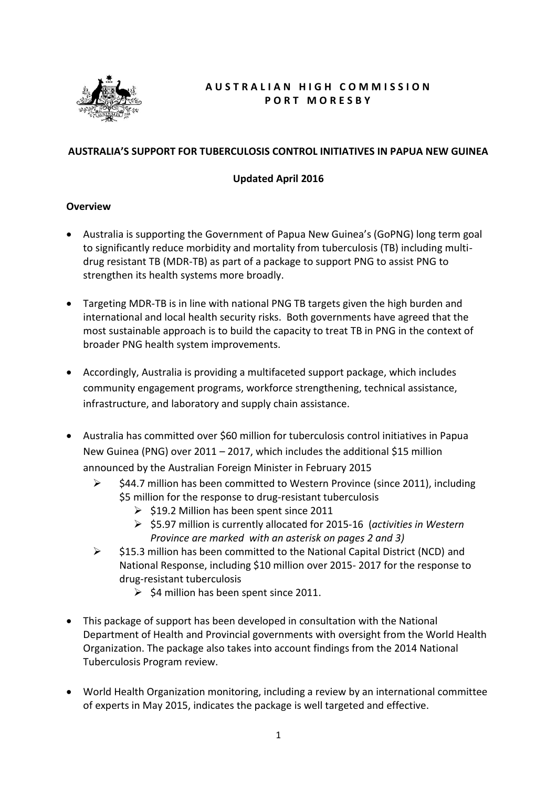

# **A U S T R A L I A N H I G H C O M M I S S I O N P O R T M O R E S B Y**

### **AUSTRALIA'S SUPPORT FOR TUBERCULOSIS CONTROL INITIATIVES IN PAPUA NEW GUINEA**

### **Updated April 2016**

#### **Overview**

- Australia is supporting the Government of Papua New Guinea's (GoPNG) long term goal to significantly reduce morbidity and mortality from tuberculosis (TB) including multidrug resistant TB (MDR-TB) as part of a package to support PNG to assist PNG to strengthen its health systems more broadly.
- Targeting MDR-TB is in line with national PNG TB targets given the high burden and international and local health security risks. Both governments have agreed that the most sustainable approach is to build the capacity to treat TB in PNG in the context of broader PNG health system improvements.
- Accordingly, Australia is providing a multifaceted support package, which includes community engagement programs, workforce strengthening, technical assistance, infrastructure, and laboratory and supply chain assistance.
- Australia has committed over \$60 million for tuberculosis control initiatives in Papua New Guinea (PNG) over 2011 – 2017, which includes the additional \$15 million announced by the Australian Foreign Minister in February 2015
	- \$44.7 million has been committed to Western Province (since 2011), including \$5 million for the response to drug-resistant tuberculosis
		- $\geq$  \$19.2 Million has been spent since 2011
		- \$5.97 million is currently allocated for 2015-16 (*activities in Western Province are marked with an asterisk on pages 2 and 3)*
	- $\triangleright$  \$15.3 million has been committed to the National Capital District (NCD) and National Response, including \$10 million over 2015- 2017 for the response to drug-resistant tuberculosis
		- $\geq$  \$4 million has been spent since 2011.
- This package of support has been developed in consultation with the National Department of Health and Provincial governments with oversight from the World Health Organization. The package also takes into account findings from the 2014 National Tuberculosis Program review.
- World Health Organization monitoring, including a review by an international committee of experts in May 2015, indicates the package is well targeted and effective.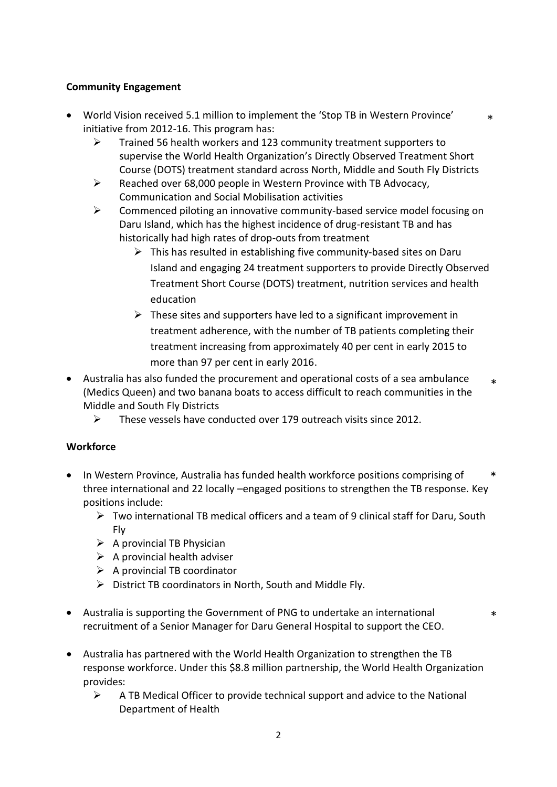### **Community Engagement**

- World Vision received 5.1 million to implement the 'Stop TB in Western Province' initiative from 2012-16. This program has:
	- $\triangleright$  Trained 56 health workers and 123 community treatment supporters to supervise the World Health Organization's Directly Observed Treatment Short Course (DOTS) treatment standard across North, Middle and South Fly Districts
	- $\triangleright$  Reached over 68,000 people in Western Province with TB Advocacy, Communication and Social Mobilisation activities
	- $\triangleright$  Commenced piloting an innovative community-based service model focusing on Daru Island, which has the highest incidence of drug-resistant TB and has historically had high rates of drop-outs from treatment
		- $\triangleright$  This has resulted in establishing five community-based sites on Daru Island and engaging 24 treatment supporters to provide Directly Observed Treatment Short Course (DOTS) treatment, nutrition services and health education

\*

\*

- $\triangleright$  These sites and supporters have led to a significant improvement in treatment adherence, with the number of TB patients completing their treatment increasing from approximately 40 per cent in early 2015 to more than 97 per cent in early 2016.
- Australia has also funded the procurement and operational costs of a sea ambulance (Medics Queen) and two banana boats to access difficult to reach communities in the Middle and South Fly Districts \*
	- $\triangleright$  These vessels have conducted over 179 outreach visits since 2012.

#### **Workforce**

- In Western Province, Australia has funded health workforce positions comprising of three international and 22 locally –engaged positions to strengthen the TB response. Key positions include: \*
	- $\triangleright$  Two international TB medical officers and a team of 9 clinical staff for Daru, South Fly
	- $\triangleright$  A provincial TB Physician
	- $\triangleright$  A provincial health adviser
	- $\triangleright$  A provincial TB coordinator
	- $\triangleright$  District TB coordinators in North, South and Middle Fly.
- Australia is supporting the Government of PNG to undertake an international recruitment of a Senior Manager for Daru General Hospital to support the CEO.
- Australia has partnered with the World Health Organization to strengthen the TB response workforce. Under this \$8.8 million partnership, the World Health Organization provides:
	- $\triangleright$  A TB Medical Officer to provide technical support and advice to the National Department of Health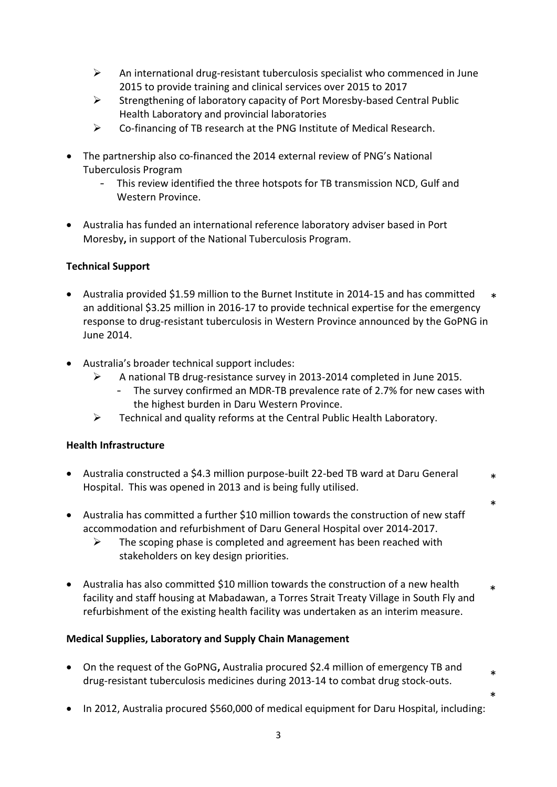- $\triangleright$  An international drug-resistant tuberculosis specialist who commenced in June 2015 to provide training and clinical services over 2015 to 2017
- $\triangleright$  Strengthening of laboratory capacity of Port Moresby-based Central Public Health Laboratory and provincial laboratories
- $\triangleright$  Co-financing of TB research at the PNG Institute of Medical Research.
- The partnership also co-financed the 2014 external review of PNG's National Tuberculosis Program
	- This review identified the three hotspots for TB transmission NCD, Gulf and Western Province.
- Australia has funded an international reference laboratory adviser based in Port Moresby**,** in support of the National Tuberculosis Program.

# **Technical Support**

- Australia provided \$1.59 million to the Burnet Institute in 2014-15 and has committed an additional \$3.25 million in 2016-17 to provide technical expertise for the emergency response to drug-resistant tuberculosis in Western Province announced by the GoPNG in June 2014. \*
- Australia's broader technical support includes:
	- $\triangleright$  A national TB drug-resistance survey in 2013-2014 completed in June 2015.
		- The survey confirmed an MDR-TB prevalence rate of 2.7% for new cases with the highest burden in Daru Western Province.

\*

\*

\*

Technical and quality reforms at the Central Public Health Laboratory.

#### **Health Infrastructure**

- Australia constructed a \$4.3 million purpose-built 22-bed TB ward at Daru General Hospital.This was opened in 2013 and is being fully utilised. \*
- Australia has committed a further \$10 million towards the construction of new staff accommodation and refurbishment of Daru General Hospital over 2014-2017.
	- $\triangleright$  The scoping phase is completed and agreement has been reached with stakeholders on key design priorities.
- Australia has also committed \$10 million towards the construction of a new health facility and staff housing at Mabadawan, a Torres Strait Treaty Village in South Fly and refurbishment of the existing health facility was undertaken as an interim measure. \*

# **Medical Supplies, Laboratory and Supply Chain Management**

- On the request of the GoPNG**,** Australia procured \$2.4 million of emergency TB and drug-resistant tuberculosis medicines during 2013-14 to combat drug stock-outs.
- In 2012, Australia procured \$560,000 of medical equipment for Daru Hospital, including: